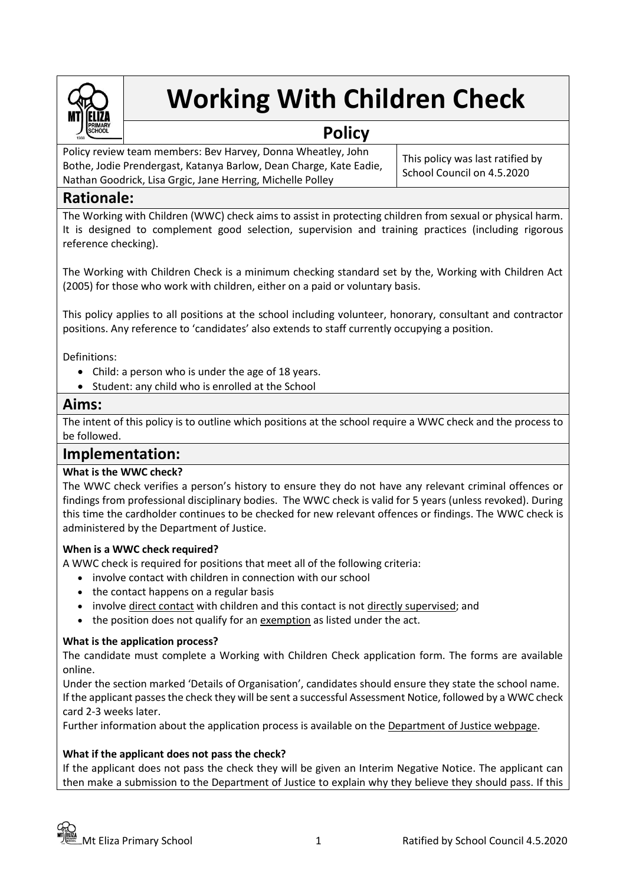

# **Working With Children Check**

# **Policy**

Policy review team members: Bev Harvey, Donna Wheatley, John Bothe, Jodie Prendergast, Katanya Barlow, Dean Charge, Kate Eadie, Nathan Goodrick, Lisa Grgic, Jane Herring, Michelle Polley

This policy was last ratified by School Council on 4.5.2020

# **Rationale:**

The Working with Children (WWC) check aims to assist in protecting children from sexual or physical harm. It is designed to complement good selection, supervision and training practices (including rigorous reference checking).

The Working with Children Check is a minimum checking standard set by the, Working with Children Act (2005) for those who work with children, either on a paid or voluntary basis.

This policy applies to all positions at the school including volunteer, honorary, consultant and contractor positions. Any reference to 'candidates' also extends to staff currently occupying a position.

Definitions:

- Child: a person who is under the age of 18 years.
- Student: any child who is enrolled at the School

## **Aims:**

The intent of this policy is to outline which positions at the school require a WWC check and the process to be followed.

# **Implementation:**

## **What is the WWC check?**

The WWC check verifies a person's history to ensure they do not have any relevant criminal offences or findings from professional disciplinary bodies. The WWC check is valid for 5 years (unless revoked). During this time the cardholder continues to be checked for new relevant offences or findings. The WWC check is administered by the Department of Justice.

#### **When is a WWC check required?**

A WWC check is required for positions that meet all of the following criteria:

- involve contact with children in connection with our school
- the contact happens on a regular basis
- involv[e direct contact](http://www.justice.vic.gov.au/wps/wcm/connect/Working+With+Children/Home/Application+Process/Who+Needs+to+Apply/) with children and this contact is not [directly supervised;](http://www.justice.vic.gov.au/wps/wcm/connect/Working+With+Children/Home/Application+Process/Who+Needs+to+Apply/) and
- the position does not qualify for a[n exemption](http://www.justice.vic.gov.au/wps/wcm/connect/Working+With+Children/Home/Application+Process/Who+Needs+to+Apply/WWCC+-+Exemptions+from+Applying+for+a+Check) as listed under the act.

#### **What is the application process?**

The candidate must complete a Working with Children Check application form. The forms are available online.

Under the section marked 'Details of Organisation', candidates should ensure they state the school name. If the applicant passes the check they will be sent a successful Assessment Notice, followed by a WWC check card 2-3 weeks later.

Further information about the application process is available on the [Department of Justice webpage.](https://online.justice.vic.gov.au/wwc/wwc-online-check)

#### **What if the applicant does not pass the check?**

If the applicant does not pass the check they will be given an Interim Negative Notice. The applicant can then make a submission to the Department of Justice to explain why they believe they should pass. If this